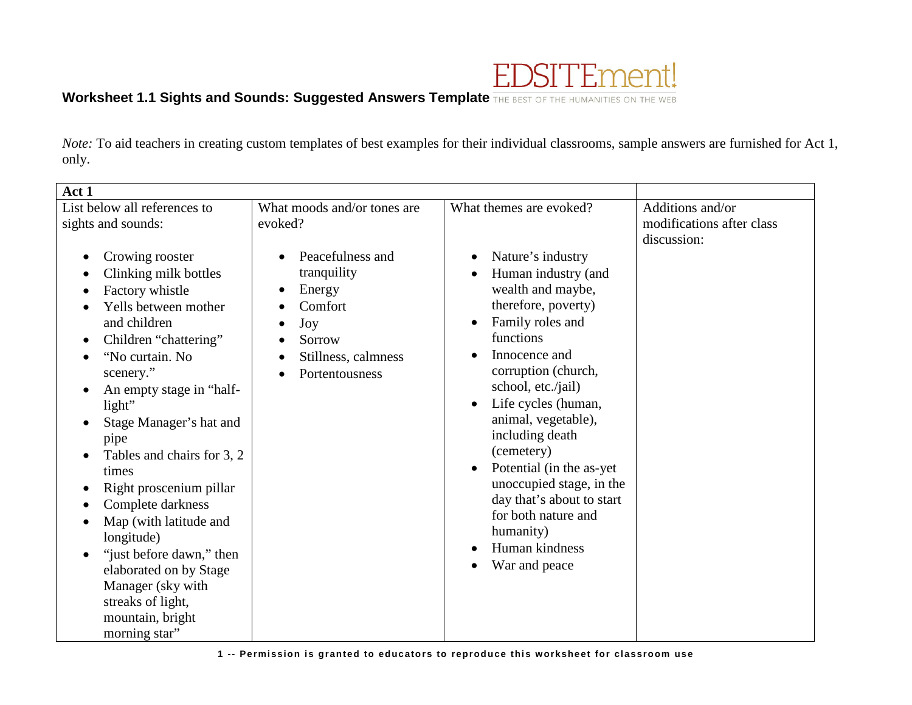

## **Worksheet 1.1 Sights and Sounds: Suggested Answers Template THE BEST OF THE HUMANITIES ON THE WEB**

*Note:* To aid teachers in creating custom templates of best examples for their individual classrooms, sample answers are furnished for Act 1, only.

| Act 1                                                                                                                                                                                                                                                                                                                                                  |                                                                                                                                        |                                                                                                                                                                                                                                                                                       |                                                              |
|--------------------------------------------------------------------------------------------------------------------------------------------------------------------------------------------------------------------------------------------------------------------------------------------------------------------------------------------------------|----------------------------------------------------------------------------------------------------------------------------------------|---------------------------------------------------------------------------------------------------------------------------------------------------------------------------------------------------------------------------------------------------------------------------------------|--------------------------------------------------------------|
| List below all references to<br>sights and sounds:<br>Crowing rooster<br>$\bullet$<br>Clinking milk bottles<br>Factory whistle<br>Yells between mother<br>and children<br>Children "chattering"<br>$\bullet$<br>"No curtain. No<br>$\bullet$                                                                                                           | What moods and/or tones are<br>evoked?<br>Peacefulness and<br>tranquility<br>Energy<br>Comfort<br>Joy<br>Sorrow<br>Stillness, calmness | What themes are evoked?<br>Nature's industry<br>Human industry (and<br>wealth and maybe,<br>therefore, poverty)<br>Family roles and<br>functions<br>Innocence and                                                                                                                     | Additions and/or<br>modifications after class<br>discussion: |
| scenery."<br>An empty stage in "half-<br>light"<br>Stage Manager's hat and<br>pipe<br>Tables and chairs for 3, 2<br>times<br>Right proscenium pillar<br>Complete darkness<br>Map (with latitude and<br>longitude)<br>"just before dawn," then<br>elaborated on by Stage<br>Manager (sky with<br>streaks of light,<br>mountain, bright<br>morning star" | Portentousness                                                                                                                         | corruption (church,<br>school, etc./jail)<br>Life cycles (human,<br>animal, vegetable),<br>including death<br>(cemetery)<br>Potential (in the as-yet)<br>unoccupied stage, in the<br>day that's about to start<br>for both nature and<br>humanity)<br>Human kindness<br>War and peace |                                                              |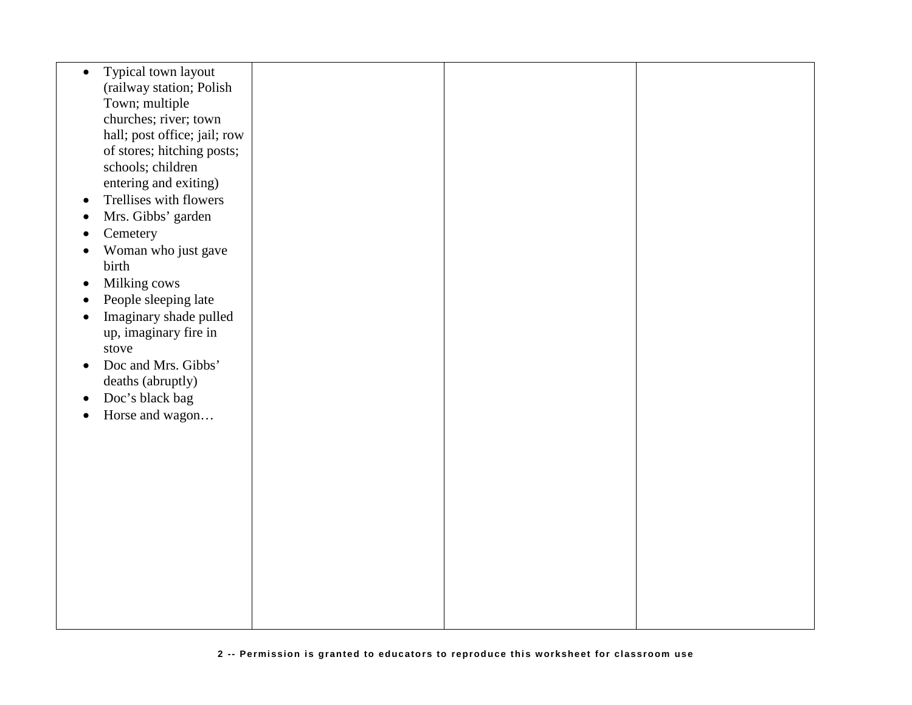| $\bullet$ | Typical town layout          |  |  |
|-----------|------------------------------|--|--|
|           | (railway station; Polish     |  |  |
|           |                              |  |  |
|           | Town; multiple               |  |  |
|           | churches; river; town        |  |  |
|           | hall; post office; jail; row |  |  |
|           | of stores; hitching posts;   |  |  |
|           | schools; children            |  |  |
|           |                              |  |  |
|           | entering and exiting)        |  |  |
| $\bullet$ | Trellises with flowers       |  |  |
| $\bullet$ | Mrs. Gibbs' garden           |  |  |
|           | Cemetery                     |  |  |
|           |                              |  |  |
| $\bullet$ | Woman who just gave          |  |  |
|           | birth                        |  |  |
| $\bullet$ | Milking cows                 |  |  |
| $\bullet$ | People sleeping late         |  |  |
|           |                              |  |  |
| $\bullet$ | Imaginary shade pulled       |  |  |
|           | up, imaginary fire in        |  |  |
|           | stove                        |  |  |
| $\bullet$ | Doc and Mrs. Gibbs'          |  |  |
|           |                              |  |  |
|           | deaths (abruptly)            |  |  |
| $\bullet$ | Doc's black bag              |  |  |
| $\bullet$ | Horse and wagon              |  |  |
|           |                              |  |  |
|           |                              |  |  |
|           |                              |  |  |
|           |                              |  |  |
|           |                              |  |  |
|           |                              |  |  |
|           |                              |  |  |
|           |                              |  |  |
|           |                              |  |  |
|           |                              |  |  |
|           |                              |  |  |
|           |                              |  |  |
|           |                              |  |  |
|           |                              |  |  |
|           |                              |  |  |
|           |                              |  |  |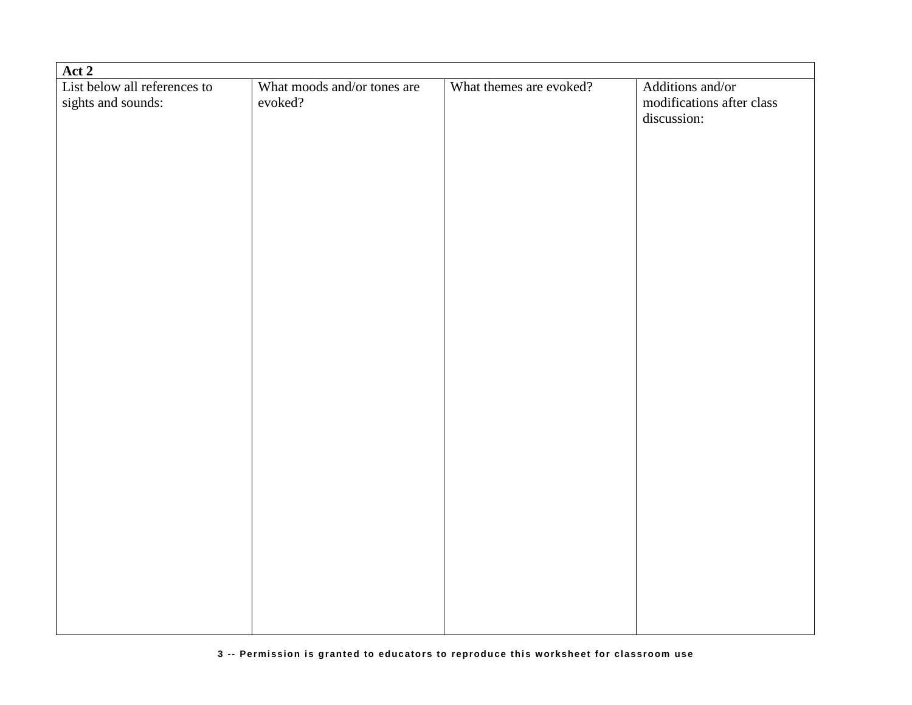| Act 2                        |                             |                         |                           |  |  |
|------------------------------|-----------------------------|-------------------------|---------------------------|--|--|
| List below all references to | What moods and/or tones are | What themes are evoked? | Additions and/or          |  |  |
| sights and sounds:           | evoked?                     |                         | modifications after class |  |  |
|                              |                             |                         | discussion:               |  |  |
|                              |                             |                         |                           |  |  |
|                              |                             |                         |                           |  |  |
|                              |                             |                         |                           |  |  |
|                              |                             |                         |                           |  |  |
|                              |                             |                         |                           |  |  |
|                              |                             |                         |                           |  |  |
|                              |                             |                         |                           |  |  |
|                              |                             |                         |                           |  |  |
|                              |                             |                         |                           |  |  |
|                              |                             |                         |                           |  |  |
|                              |                             |                         |                           |  |  |
|                              |                             |                         |                           |  |  |
|                              |                             |                         |                           |  |  |
|                              |                             |                         |                           |  |  |
|                              |                             |                         |                           |  |  |
|                              |                             |                         |                           |  |  |
|                              |                             |                         |                           |  |  |
|                              |                             |                         |                           |  |  |
|                              |                             |                         |                           |  |  |
|                              |                             |                         |                           |  |  |
|                              |                             |                         |                           |  |  |
|                              |                             |                         |                           |  |  |
|                              |                             |                         |                           |  |  |
|                              |                             |                         |                           |  |  |
|                              |                             |                         |                           |  |  |
|                              |                             |                         |                           |  |  |
|                              |                             |                         |                           |  |  |
|                              |                             |                         |                           |  |  |
|                              |                             |                         |                           |  |  |
|                              |                             |                         |                           |  |  |
|                              |                             |                         |                           |  |  |